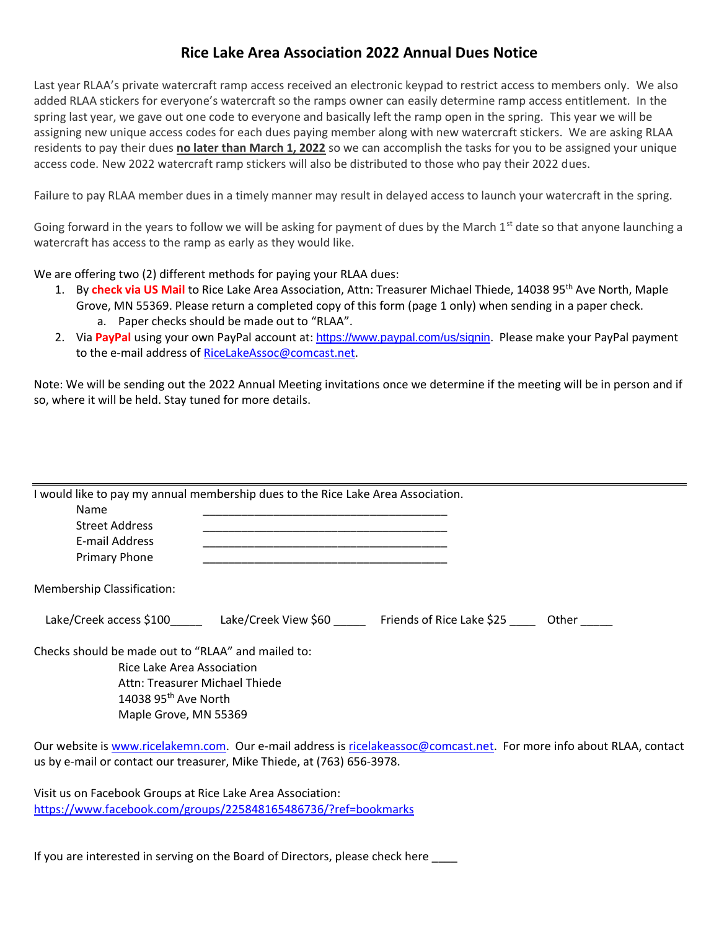## **Rice Lake Area Association 2022 Annual Dues Notice**

Last year RLAA's private watercraft ramp access received an electronic keypad to restrict access to members only. We also added RLAA stickers for everyone's watercraft so the ramps owner can easily determine ramp access entitlement. In the spring last year, we gave out one code to everyone and basically left the ramp open in the spring. This year we will be assigning new unique access codes for each dues paying member along with new watercraft stickers. We are asking RLAA residents to pay their dues **no later than March 1, 2022** so we can accomplish the tasks for you to be assigned your unique access code. New 2022 watercraft ramp stickers will also be distributed to those who pay their 2022 dues.

Failure to pay RLAA member dues in a timely manner may result in delayed access to launch your watercraft in the spring.

Going forward in the years to follow we will be asking for payment of dues by the March  $1<sup>st</sup>$  date so that anyone launching a watercraft has access to the ramp as early as they would like.

We are offering two (2) different methods for paying your RLAA dues:

- 1. By **check via US Mail** to Rice Lake Area Association, Attn: Treasurer Michael Thiede, 14038 95<sup>th</sup> Ave North, Maple Grove, MN 55369. Please return a completed copy of this form (page 1 only) when sending in a paper check. a. Paper checks should be made out to "RLAA".
- 2. Via **PayPal** using your own PayPal account at: <https://www.paypal.com/us/signin>. Please make your PayPal payment to the e-mail address of [RiceLakeAssoc@comcast.net.](mailto:RiceLakeAssoc@comcast.net)

Note: We will be sending out the 2022 Annual Meeting invitations once we determine if the meeting will be in person and if so, where it will be held. Stay tuned for more details.

| I would like to pay my annual membership dues to the Rice Lake Area Association.<br>Name<br><b>Street Address</b><br>E-mail Address<br><b>Primary Phone</b> |                      |                           |       |
|-------------------------------------------------------------------------------------------------------------------------------------------------------------|----------------------|---------------------------|-------|
| Membership Classification:                                                                                                                                  |                      |                           |       |
| Lake/Creek access \$100                                                                                                                                     | Lake/Creek View \$60 | Friends of Rice Lake \$25 | Other |
| Checks should be made out to "RLAA" and mailed to:<br>Rice Lake Area Association<br>Attn: Treasurer Michael Thiede<br>$1.020$ Orth $\lambda_{16}$ North     |                      |                           |       |

 $14038$  95<sup>th</sup> Ave North Maple Grove, MN 55369

Our website is [www.ricelakemn.com.](http://www.ricelakemn.com/) Our e-mail address is [ricelakeassoc@comcast.net.](mailto:ricelakeassoc@comcast.net) For more info about RLAA, contact us by e-mail or contact our treasurer, Mike Thiede, at (763) 656-3978.

Visit us on Facebook Groups at Rice Lake Area Association: <https://www.facebook.com/groups/225848165486736/?ref=bookmarks>

If you are interested in serving on the Board of Directors, please check here \_\_\_\_